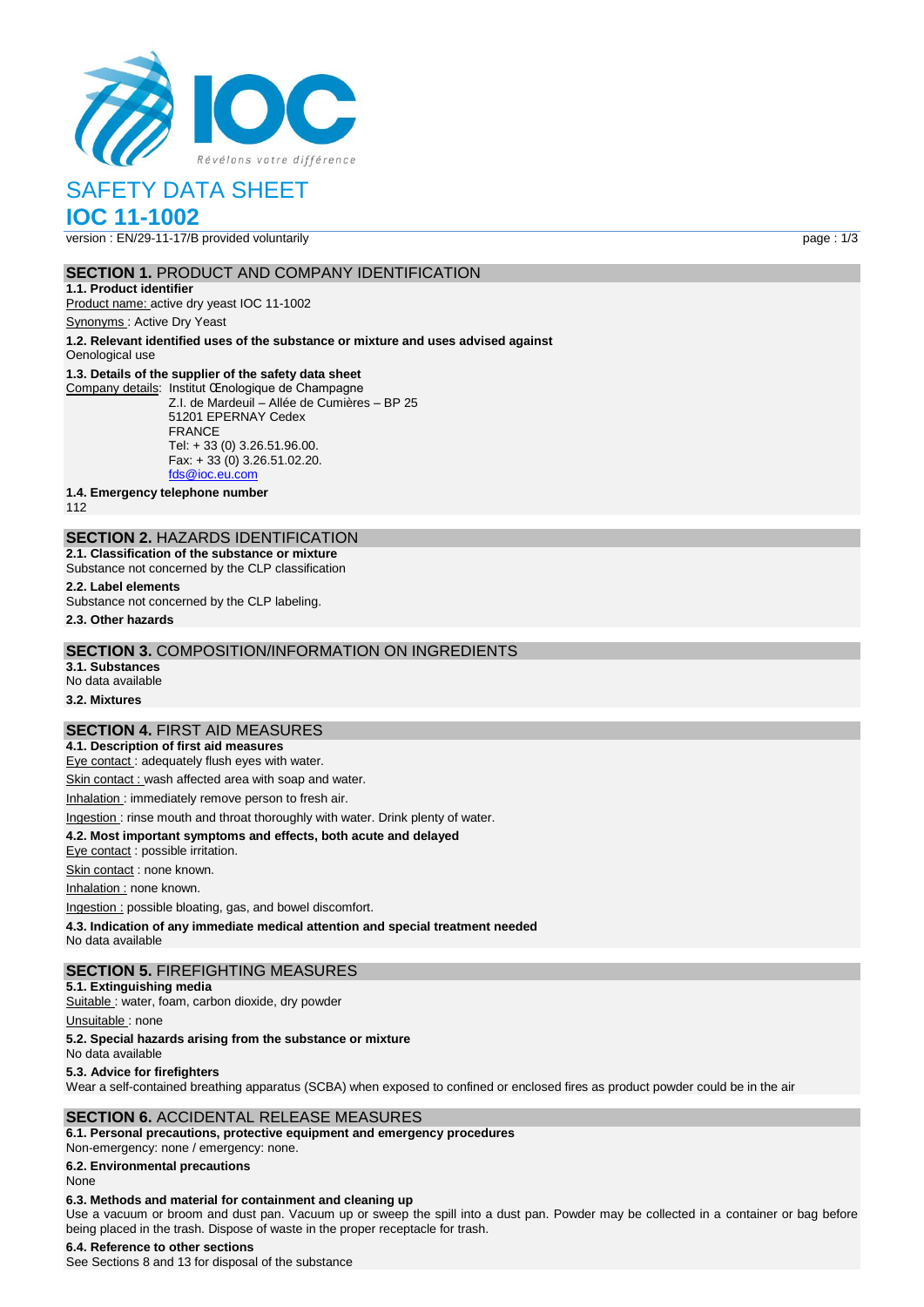

# SAFETY DATA SHEET

# **IOC 11-1002**

version : EN/29-11-17/B provided voluntarily page : 1/3

# **SECTION 1.** PRODUCT AND COMPANY IDENTIFICATION

**1.1. Product identifier** Product name: active dry yeast IOC 11-1002

Synonyms : Active Dry Yeast

**1.2. Relevant identified uses of the substance or mixture and uses advised against**

# Oenological use

# **1.3. Details of the supplier of the safety data sheet**

Company details: Institut Œnologique de Champagne Z.I. de Mardeuil – Allée de Cumières – BP 25 51201 EPERNAY Cedex FRANCE Tel: + 33 (0) 3.26.51.96.00. Fax: + 33 (0) 3.26.51.02.20. [fds@ioc.eu.com](mailto:fds@ioc.eu.com)

**1.4. Emergency telephone number**

112

# **SECTION 2.** HAZARDS IDENTIFICATION

**2.1. Classification of the substance or mixture** Substance not concerned by the CLP classification

# **2.2. Label elements**

Substance not concerned by the CLP labeling.

**2.3. Other hazards**

## **SECTION 3.** COMPOSITION/INFORMATION ON INGREDIENTS

**3.1. Substances** No data available

**3.2. Mixtures**

# **SECTION 4.** FIRST AID MEASURES

**4.1. Description of first aid measures**

Eye contact : adequately flush eyes with water.

Skin contact : wash affected area with soap and water.

Inhalation : immediately remove person to fresh air.

### Ingestion : rinse mouth and throat thoroughly with water. Drink plenty of water.

**4.2. Most important symptoms and effects, both acute and delayed**

Eye contact : possible irritation.

Skin contact : none known.

Inhalation : none known.

Ingestion : possible bloating, gas, and bowel discomfort.

**4.3. Indication of any immediate medical attention and special treatment needed**

No data available

### **SECTION 5.** FIREFIGHTING MEASURES

**5.1. Extinguishing media**

Suitable : water, foam, carbon dioxide, dry powder

Unsuitable: none

#### **5.2. Special hazards arising from the substance or mixture**

No data available

#### **5.3. Advice for firefighters**

Wear a self-contained breathing apparatus (SCBA) when exposed to confined or enclosed fires as product powder could be in the air

### **SECTION 6.** ACCIDENTAL RELEASE MEASURES

**6.1. Personal precautions, protective equipment and emergency procedures** Non‐emergency: none / emergency: none.

**6.2. Environmental precautions**

#### None

#### **6.3. Methods and material for containment and cleaning up**

Use a vacuum or broom and dust pan. Vacuum up or sweep the spill into a dust pan. Powder may be collected in a container or bag before being placed in the trash. Dispose of waste in the proper receptacle for trash.

#### **6.4. Reference to other sections**

See Sections 8 and 13 for disposal of the substance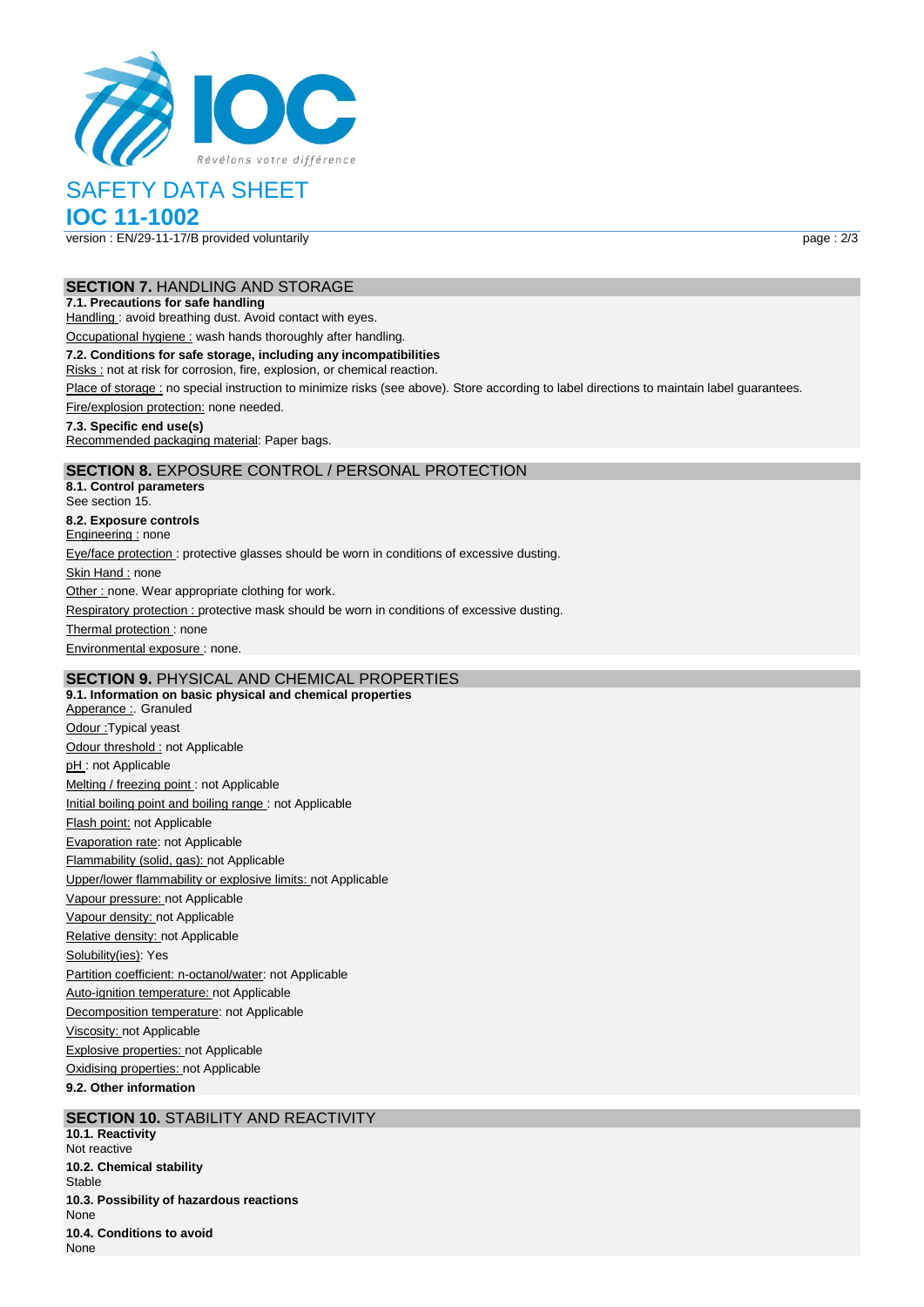

# SAFETY DATA SHEET

# **IOC 11-1002**

version : EN/29-11-17/B provided voluntarily page : 2/3

# **SECTION 7.** HANDLING AND STORAGE

### **7.1. Precautions for safe handling**

Handling : avoid breathing dust. Avoid contact with eyes.

Occupational hygiene : wash hands thoroughly after handling.

#### **7.2. Conditions for safe storage, including any incompatibilities**

Risks : not at risk for corrosion, fire, explosion, or chemical reaction.

Place of storage : no special instruction to minimize risks (see above). Store according to label directions to maintain label guarantees.

Fire/explosion protection: none needed.

### **7.3. Specific end use(s)**

Recommended packaging material: Paper bags.

# **SECTION 8.** EXPOSURE CONTROL / PERSONAL PROTECTION

**8.1. Control parameters** See section 15. **8.2. Exposure controls** Engineering : none Eye/face protection : protective glasses should be worn in conditions of excessive dusting. Skin Hand : none Other : none. Wear appropriate clothing for work. Respiratory protection : protective mask should be worn in conditions of excessive dusting. Thermal protection: none Environmental exposure : none.

# **SECTION 9.** PHYSICAL AND CHEMICAL PROPERTIES

**9.1. Information on basic physical and chemical properties** Apperance : Granuled Odour :Typical yeast Odour threshold : not Applicable pH: not Applicable Melting / freezing point : not Applicable Initial boiling point and boiling range : not Applicable Flash point: not Applicable Evaporation rate: not Applicable Flammability (solid, gas): not Applicable Upper/lower flammability or explosive limits: not Applicable Vapour pressure: not Applicable Vapour density: not Applicable Relative density: not Applicable Solubility(ies): Yes Partition coefficient: n-octanol/water: not Applicable Auto-ignition temperature: not Applicable Decomposition temperature: not Applicable Viscosity: not Applicable Explosive properties: not Applicable Oxidising properties: not Applicable **9.2. Other information**

# **SECTION 10. STABILITY AND REACTIVITY**

**10.1. Reactivity** Not reactive **10.2. Chemical stability** Stable **10.3. Possibility of hazardous reactions** None **10.4. Conditions to avoid** None